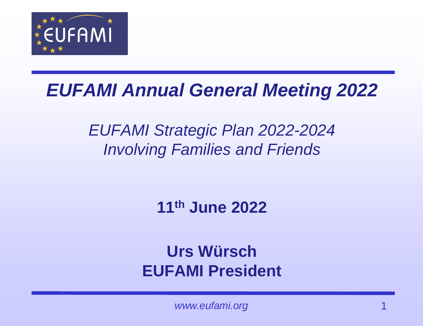

#### *EUFAMI Annual General Meeting 2022*

#### *EUFAMI Strategic Plan 2022-2024 Involving Families and Friends*

**11th June 2022**

#### **Urs Würsch EUFAMI President**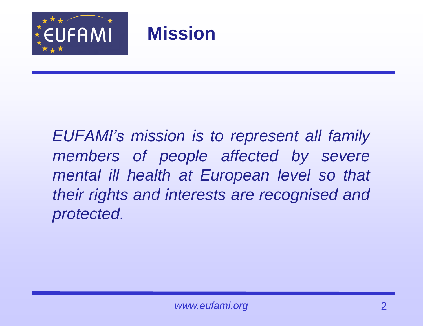

#### **Mission**

*EUFAMI's mission is to represent all family members of people affected by severe mental ill health at European level so that their rights and interests are recognised and protected.*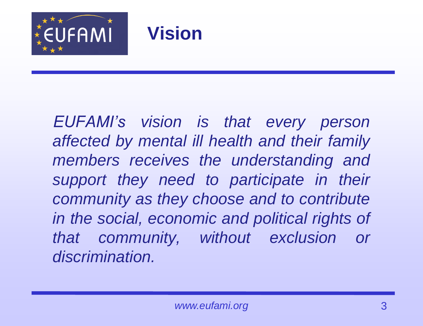



*EUFAMI's vision is that every person affected by mental ill health and their family members receives the understanding and support they need to participate in their community as they choose and to contribute in the social, economic and political rights of that community, without exclusion or discrimination.*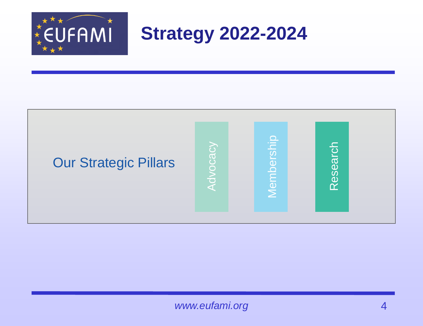

**Strategy 2022-2024**



*www.eufami.org* 4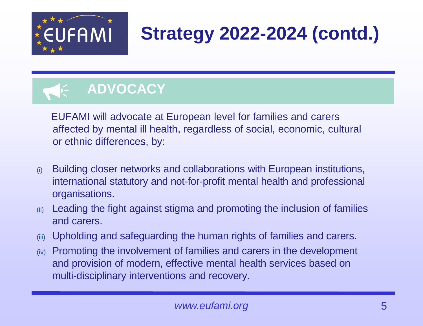

## **Strategy 2022-2024 (contd.)**

### **ADVOCACY**

EUFAMI will advocate at European level for families and carers affected by mental ill health, regardless of social, economic, cultural or ethnic differences, by:

- (i) Building closer networks and collaborations with European institutions, international statutory and not-for-profit mental health and professional organisations.
- (ii) Leading the fight against stigma and promoting the inclusion of families and carers.
- (iii) Upholding and safeguarding the human rights of families and carers.
- (iv) Promoting the involvement of families and carers in the development and provision of modern, effective mental health services based on multi-disciplinary interventions and recovery.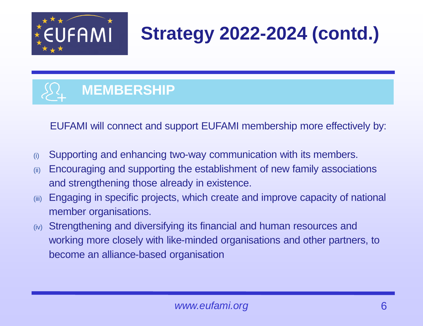

## **Strategy 2022-2024 (contd.)**



EUFAMI will connect and support EUFAMI membership more effectively by:

- (i) Supporting and enhancing two-way communication with its members.
- (ii) Encouraging and supporting the establishment of new family associations and strengthening those already in existence.
- (iii) Engaging in specific projects, which create and improve capacity of national member organisations.
- (iv) Strengthening and diversifying its financial and human resources and working more closely with like-minded organisations and other partners, to become an alliance-based organisation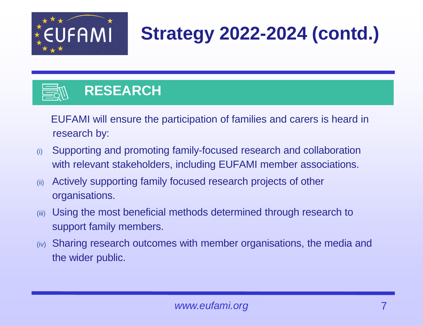

# **Strategy 2022-2024 (contd.)**



EUFAMI will ensure the participation of families and carers is heard in research by:

- (i) Supporting and promoting family-focused research and collaboration with relevant stakeholders, including EUFAMI member associations.
- (ii) Actively supporting family focused research projects of other organisations.
- (iii) Using the most beneficial methods determined through research to support family members.
- (iv) Sharing research outcomes with member organisations, the media and the wider public.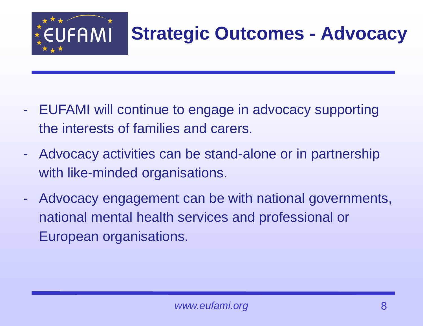

### **Strategic Outcomes - Advocacy**

- EUFAMI will continue to engage in advocacy supporting the interests of families and carers.
- Advocacy activities can be stand-alone or in partnership with like-minded organisations.
- Advocacy engagement can be with national governments, national mental health services and professional or European organisations.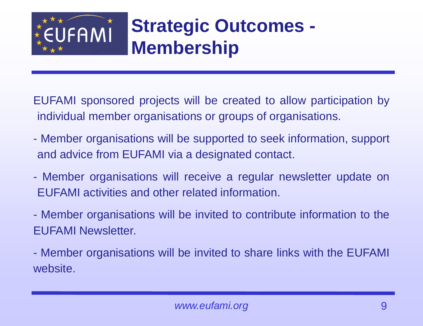

### **Strategic Outcomes - Membership**

EUFAMI sponsored projects will be created to allow participation by individual member organisations or groups of organisations.

- Member organisations will be supported to seek information, support and advice from EUFAMI via a designated contact.
- Member organisations will receive a regular newsletter update on EUFAMI activities and other related information.
- Member organisations will be invited to contribute information to the EUFAMI Newsletter.
- Member organisations will be invited to share links with the EUFAMI website.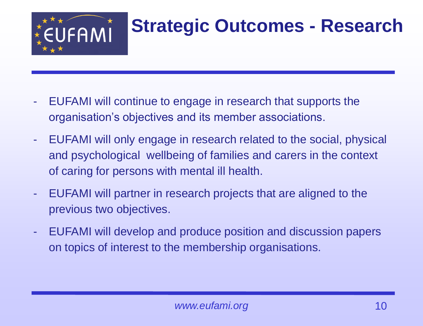

### **Strategic Outcomes - Research**

- EUFAMI will continue to engage in research that supports the organisation's objectives and its member associations.
- EUFAMI will only engage in research related to the social, physical and psychological wellbeing of families and carers in the context of caring for persons with mental ill health.
- EUFAMI will partner in research projects that are aligned to the previous two objectives.
- EUFAMI will develop and produce position and discussion papers on topics of interest to the membership organisations.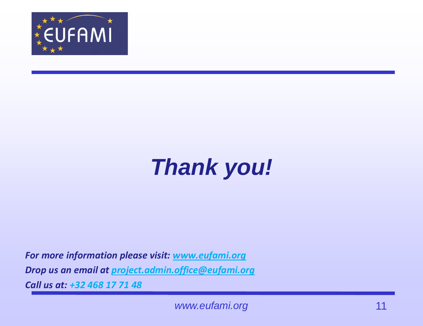

# *Thank you!*

*For more information please visit: [www.eufami.org](http://www.eufami.org/) Drop us an email at [project.admin.office@eufami.org](mailto:project.admin.office@eufami.org)*

*Call us at: +32 468 17 71 48*

*www.eufami.org* 11